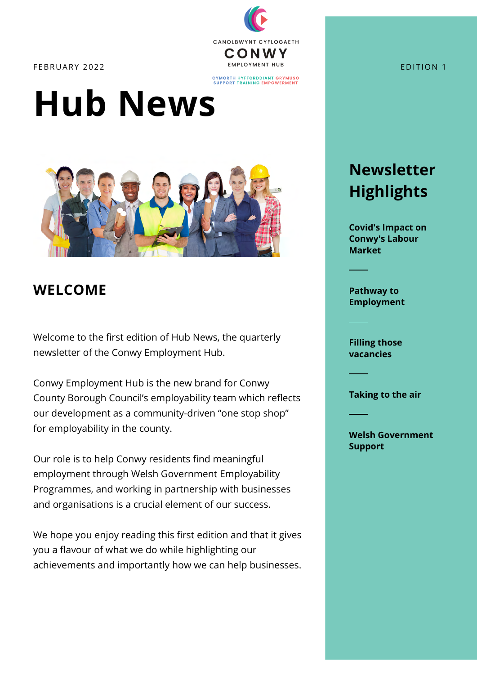

CYMORTH HYFFORDDIANT GRYMUSO<br>SUPPORT TRAINING EMPOWERMENT

# **Hub News**



## **WELCOME**

Welcome to the first edition of Hub News, the quarterly newsletter of the Conwy Employment Hub.

Conwy Employment Hub is the new brand for Conwy County Borough Council's employability team which reflects our development as a community-driven "one stop shop" for employability in the county.

Our role is to help Conwy residents find meaningful employment through Welsh Government Employability Programmes, and working in partnership with businesses and organisations is a crucial element of our success.

We hope you enjoy reading this first edition and that it gives you a flavour of what we do while highlighting our achievements and importantly how we can help businesses.

## **Newsletter Highlights**

**[Covid's Impact on](#page-2-0) Conwy's Labour Market**

**Pathway to [Employment](#page-5-0)**

**[Filling those](#page-1-0) vacancies**

**[Taking to the air](#page-4-0)**

**[Welsh Government](#page-4-0) Support**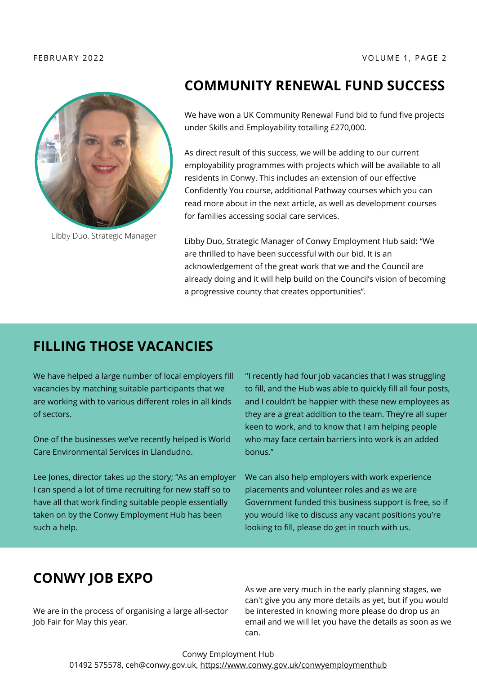<span id="page-1-0"></span>

Libby Duo, Strategic Manager

## **COMMUNITY RENEWAL FUND SUCCESS**

We have won a UK Community Renewal Fund bid to fund five projects under Skills and Employability totalling £270,000.

As direct result of this success, we will be adding to our current employability programmes with projects which will be available to all residents in Conwy. This includes an extension of our effective Confidently You course, additional Pathway courses which you can read more about in the next article, as well as development courses for families accessing social care services.

Libby Duo, Strategic Manager of Conwy Employment Hub said: "We are thrilled to have been successful with our bid. It is an acknowledgement of the great work that we and the Council are already doing and it will help build on the Council's vision of becoming a progressive county that creates opportunities".

## **FILLING THOSE VACANCIES**

We have helped a large number of local employers fill vacancies by matching suitable participants that we are working with to various different roles in all kinds of sectors.

One of the businesses we've recently helped is World Care Environmental Services in Llandudno.

Lee Jones, director takes up the story; "As an employer I can spend a lot of time recruiting for new staff so to have all that work finding suitable people essentially taken on by the Conwy Employment Hub has been such a help.

"I recently had four job vacancies that I was struggling to fill, and the Hub was able to quickly fill all four posts, and I couldn't be happier with these new employees as they are a great addition to the team. They're all super keen to work, and to know that I am helping people who may face certain barriers into work is an added bonus."

We can also help employers with work experience placements and volunteer roles and as we are Government funded this business support is free, so if you would like to discuss any vacant positions you're looking to fill, please do get in touch with us.

## **CONWY JOB EXPO**

We are in the process of organising a large all-sector Job Fair for May this year.

As we are very much in the early planning stages, we can't give you any more details as yet, but if you would be interested in knowing more please do drop us an email and we will let you have the details as soon as we can.

Conwy Employment Hub [01492 575578, ceh@conwy.gov.uk, https://www.conwy.gov.uk/conwyemploymenthub](https://www.conwy.gov.uk/conwyemploymenthub)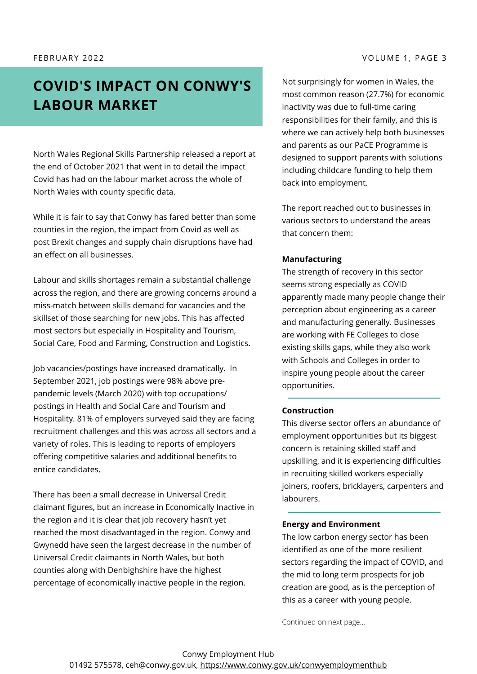### <span id="page-2-0"></span>F E B R U A R Y 2 0 2 2 V O L U M E 1 , P A G E 3

## **COVID'S IMPACT ON CONWY'S LABOUR MARKET**

North Wales Regional Skills Partnership released a report at the end of October 2021 that went in to detail the impact Covid has had on the labour market across the whole of North Wales with county specific data.

While it is fair to say that Conwy has fared better than some counties in the region, the impact from Covid as well as post Brexit changes and supply chain disruptions have had an effect on all businesses.

Labour and skills shortages remain a substantial challenge across the region, and there are growing concerns around a miss-match between skills demand for vacancies and the skillset of those searching for new jobs. This has affected most sectors but especially in Hospitality and Tourism, Social Care, Food and Farming, Construction and Logistics.

Job vacancies/postings have increased dramatically. In September 2021, job postings were 98% above prepandemic levels (March 2020) with top occupations/ postings in Health and Social Care and Tourism and Hospitality. 81% of employers surveyed said they are facing recruitment challenges and this was across all sectors and a variety of roles. This is leading to reports of employers offering competitive salaries and additional benefits to entice candidates.

There has been a small decrease in Universal Credit claimant figures, but an increase in Economically Inactive in the region and it is clear that job recovery hasn't yet reached the most disadvantaged in the region. Conwy and Gwynedd have seen the largest decrease in the number of Universal Credit claimants in North Wales, but both counties along with Denbighshire have the highest percentage of economically inactive people in the region.

Not surprisingly for women in Wales, the most common reason (27.7%) for economic inactivity was due to full-time caring responsibilities for their family, and this is where we can actively help both businesses and parents as our PaCE Programme is designed to support parents with solutions including childcare funding to help them back into employment.

The report reached out to businesses in various sectors to understand the areas that concern them:

## **Manufacturing**

The strength of recovery in this sector seems strong especially as COVID apparently made many people change their perception about engineering as a career and manufacturing generally. Businesses are working with FE Colleges to close existing skills gaps, while they also work with Schools and Colleges in order to inspire young people about the career opportunities.

## **Construction**

This diverse sector offers an abundance of employment opportunities but its biggest concern is retaining skilled staff and upskilling, and it is experiencing difficulties in recruiting skilled workers especially joiners, roofers, bricklayers, carpenters and labourers.

## **Energy and Environment**

The low carbon energy sector has been identified as one of the more resilient sectors regarding the impact of COVID, and the mid to long term prospects for job creation are good, as is the perception of this as a career with young people.

Continued on next page...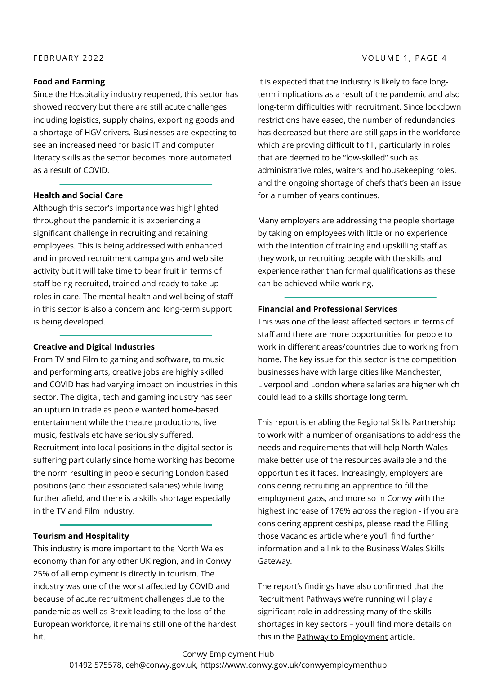### **Food and Farming**

Since the Hospitality industry reopened, this sector has showed recovery but there are still acute challenges including logistics, supply chains, exporting goods and a shortage of HGV drivers. Businesses are expecting to see an increased need for basic IT and computer literacy skills as the sector becomes more automated as a result of COVID.

### **Health and Social Care**

Although this sector's importance was highlighted throughout the pandemic it is experiencing a significant challenge in recruiting and retaining employees. This is being addressed with enhanced and improved recruitment campaigns and web site activity but it will take time to bear fruit in terms of staff being recruited, trained and ready to take up roles in care. The mental health and wellbeing of staff in this sector is also a concern and long-term support is being developed.

### **Creative and Digital Industries**

From TV and Film to gaming and software, to music and performing arts, creative jobs are highly skilled and COVID has had varying impact on industries in this sector. The digital, tech and gaming industry has seen an upturn in trade as people wanted home-based entertainment while the theatre productions, live music, festivals etc have seriously suffered. Recruitment into local positions in the digital sector is suffering particularly since home working has become the norm resulting in people securing London based positions (and their associated salaries) while living further afield, and there is a skills shortage especially in the TV and Film industry.

### **Tourism and Hospitality**

This industry is more important to the North Wales economy than for any other UK region, and in Conwy 25% of all employment is directly in tourism. The industry was one of the worst affected by COVID and because of acute recruitment challenges due to the pandemic as well as Brexit leading to the loss of the European workforce, it remains still one of the hardest hit.

It is expected that the industry is likely to face longterm implications as a result of the pandemic and also long-term difficulties with recruitment. Since lockdown restrictions have eased, the number of redundancies has decreased but there are still gaps in the workforce which are proving difficult to fill, particularly in roles that are deemed to be "low-skilled" such as administrative roles, waiters and housekeeping roles, [and the ongoing shortage of chefs that's been an issue](#page-5-0) for a number of years continues.

Many employers are addressing the people shortage by taking on employees with little or no experience with the intention of training and upskilling staff as they work, or recruiting people with the skills and experience rather than formal qualifications as these can be achieved while working.

### **Financial and Professional Services**

This was one of the least affected sectors in terms of staff and there are more opportunities for people to work in different areas/countries due to working from home. The key issue for this sector is the competition businesses have with large cities like Manchester, Liverpool and London where salaries are higher which could lead to a skills shortage long term.

This report is enabling the Regional Skills Partnership to work with a number of organisations to address the needs and requirements that will help North Wales make better use of the resources available and the opportunities it faces. Increasingly, employers are considering recruiting an apprentice to fill the employment gaps, and more so in Conwy with the highest increase of 176% across the region - if you are considering apprenticeships, please read the Filling those Vacancies article where you'll find further information and a link to the Business Wales Skills Gateway.

The report's findings have also confirmed that the Recruitment Pathways we're running will play a significant role in addressing many of the skills shortages in key sectors – you'll find more details on this in the **[Pathway to Employment](#page-5-0)** article.

Conwy Employment Hub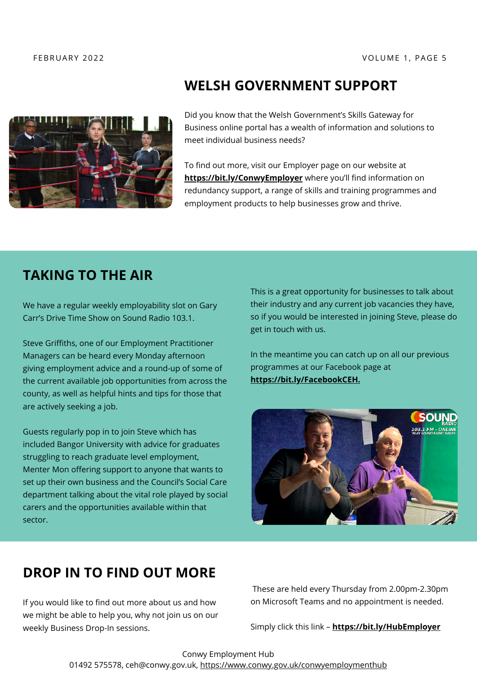<span id="page-4-0"></span>

## **WELSH GOVERNMENT SUPPORT**

Did you know that the Welsh Government's Skills Gateway for Business online portal has a wealth of information and solutions to meet individual business needs?

To find out more, visit our Employer page on our website at **<https://bit.ly/ConwyEmployer>** where you'll find information on redundancy support, a range of skills and training programmes and employment products to help businesses grow and thrive.

## **TAKING TO THE AIR**

We have a regular weekly employability slot on Gary Carr's Drive Time Show on Sound Radio 103.1.

Steve Griffiths, one of our Employment Practitioner Managers can be heard every Monday afternoon giving employment advice and a round-up of some of the current available job opportunities from across the county, as well as helpful hints and tips for those that are actively seeking a job.

Guests regularly pop in to join Steve which has included Bangor University with advice for graduates struggling to reach graduate level employment, Menter Mon offering support to anyone that wants to set up their own business and the Council's Social Care department talking about the vital role played by social carers and the opportunities available within that sector.

This is a great opportunity for businesses to talk about their industry and any current job vacancies they have, so if you would be interested in joining Steve, please do get in touch with us.

In the meantime you can catch up on all our previous programmes at our Facebook page at **<https://bit.ly/FacebookCEH>.**



## **DROP IN TO FIND OUT MORE**

If you would like to find out more about us and how we might be able to help you, why not join us on our weekly Business Drop-In sessions.

These are held every Thursday from 2.00pm-2.30pm on Microsoft Teams and no appointment is needed.

Simply click this link – **<https://bit.ly/HubEmployer>**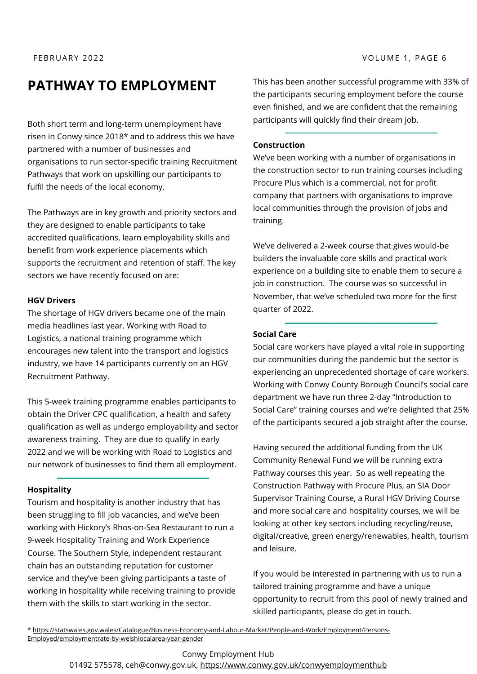## <span id="page-5-0"></span>**PATHWAY TO EMPLOYMENT**

Both short term and long-term unemployment have risen in Conwy since 2018\* and to address this we have partnered with a number of businesses and organisations to run sector-specific training Recruitment Pathways that work on upskilling our participants to fulfil the needs of the local economy.

The Pathways are in key growth and priority sectors and they are designed to enable participants to take accredited qualifications, learn employability skills and benefit from work experience placements which supports the recruitment and retention of staff. The key sectors we have recently focused on are:

### **HGV Drivers**

The shortage of HGV drivers became one of the main media headlines last year. Working with Road to Logistics, a national training programme which encourages new talent into the transport and logistics industry, we have 14 participants currently on an HGV Recruitment Pathway.

This 5-week training programme enables participants to obtain the Driver CPC qualification, a health and safety qualification as well as undergo employability and sector awareness training. They are due to qualify in early 2022 and we will be working with Road to Logistics and our network of businesses to find them all employment.

## **Hospitality**

Tourism and hospitality is another industry that has been struggling to fill job vacancies, and we've been working with Hickory's Rhos-on-Sea Restaurant to run a 9-week Hospitality Training and Work Experience Course. The Southern Style, independent restaurant chain has an outstanding reputation for customer service and they've been giving participants a taste of working in hospitality while receiving training to provide them with the skills to start working in the sector.

This has been another successful programme with 33% of the participants securing employment before the course even finished, and we are confident that the remaining participants will quickly find their dream job.

### **Construction**

We've been working with a number of organisations in the construction sector to run training courses including Procure Plus which is a commercial, not for profit company that partners with organisations to improve local communities through the provision of jobs and training.

We've delivered a 2-week course that gives would-be builders the invaluable core skills and practical work experience on a building site to enable them to secure a job in construction. The course was so successful in November, that we've scheduled two more for the first quarter of 2022.

## **Social Care**

Social care workers have played a vital role in supporting our communities during the pandemic but the sector is experiencing an unprecedented shortage of care workers. Working with Conwy County Borough Council's social care department we have run three 2-day "Introduction to Social Care" training courses and we're delighted that 25% of the participants secured a job straight after the course.

Having secured the additional funding from the UK Community Renewal Fund we will be running extra Pathway courses this year. So as well repeating the Construction Pathway with Procure Plus, an SIA Door Supervisor Training Course, a Rural HGV Driving Course and more social care and hospitality courses, we will be looking at other key sectors including recycling/reuse, digital/creative, green energy/renewables, health, tourism and leisure.

If you would be interested in partnering with us to run a tailored training programme and have a unique opportunity to recruit from this pool of newly trained and skilled participants, please do get in touch.

[\\* https://statswales.gov.wales/Catalogue/Business-Economy-and-Labour-Market/People-and-Work/Employment/Persons-](https://statswales.gov.wales/Catalogue/Business-Economy-and-Labour-Market/People-and-Work/Employment/Persons-Employed/employmentrate-by-welshlocalarea-year-gender)Employed/employmentrate-by-welshlocalarea-year-gender

## Conwy Employment Hub

[01492 575578, ceh@conwy.gov.uk, https://www.conwy.gov.uk/conwyemploymenthub](https://www.conwy.gov.uk/conwyemploymenthub)